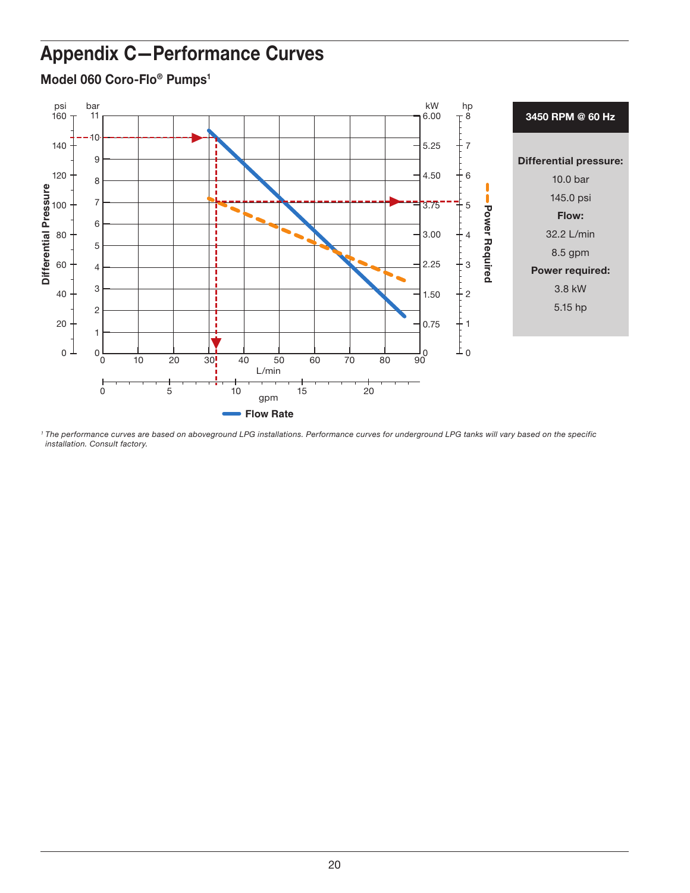## Appendix C—Performance Curves



Model 060 Coro-Flo<sup>®</sup> Pumps<sup>1</sup>

*<sup>1</sup> The performance curves are based on aboveground LPG installations. Performance curves for underground LPG tanks will vary based on the specific installation. Consult factory.*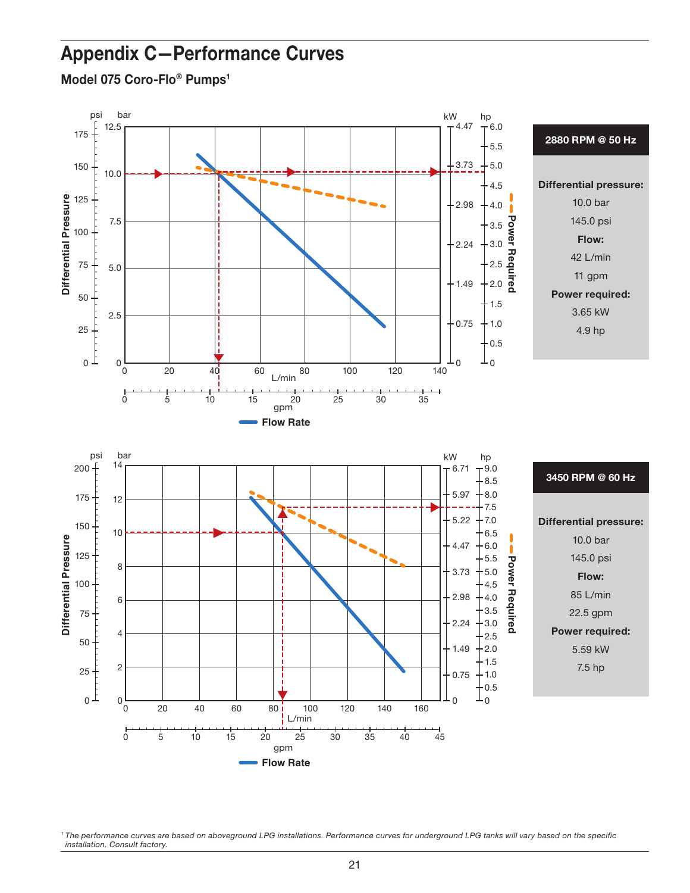## Appendix C—Performance Curves

Model 075 Coro-Flo<sup>®</sup> Pumps<sup>1</sup>



<sup>1</sup> The performance curves are based on aboveground LPG installations. Performance curves for underground LPG tanks will vary based on the specific *installation. Consult factory.*